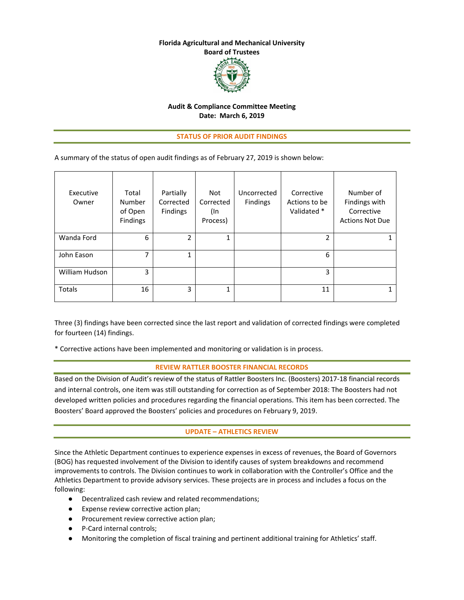#### **Florida Agricultural and Mechanical University Board of Trustees**



#### **Audit & Compliance Committee Meeting Date: March 6, 2019**

#### **STATUS OF PRIOR AUDIT FINDINGS**

A summary of the status of open audit findings as of February 27, 2019 is shown below:

| Executive<br>Owner | Total<br>Number<br>of Open<br><b>Findings</b> | Partially<br>Corrected<br><b>Findings</b> | Not<br>Corrected<br>(In<br>Process) | Uncorrected<br>Findings | Corrective<br>Actions to be<br>Validated * | Number of<br>Findings with<br>Corrective<br><b>Actions Not Due</b> |
|--------------------|-----------------------------------------------|-------------------------------------------|-------------------------------------|-------------------------|--------------------------------------------|--------------------------------------------------------------------|
| Wanda Ford         | 6                                             | 2                                         | 1                                   |                         | 2                                          |                                                                    |
| John Eason         | 7                                             | 1<br>┻                                    |                                     |                         | 6                                          |                                                                    |
| William Hudson     | 3                                             |                                           |                                     |                         | 3                                          |                                                                    |
| <b>Totals</b>      | 16                                            | 3                                         | 1                                   |                         | 11                                         |                                                                    |

Three (3) findings have been corrected since the last report and validation of corrected findings were completed for fourteen (14) findings.

\* Corrective actions have been implemented and monitoring or validation is in process.

#### **REVIEW RATTLER BOOSTER FINANCIAL RECORDS**

Based on the Division of Audit's review of the status of Rattler Boosters Inc. (Boosters) 2017‐18 financial records and internal controls, one item was still outstanding for correction as of September 2018: The Boosters had not developed written policies and procedures regarding the financial operations. This item has been corrected. The Boosters' Board approved the Boosters' policies and procedures on February 9, 2019.

#### **UPDATE – ATHLETICS REVIEW**

Since the Athletic Department continues to experience expenses in excess of revenues, the Board of Governors (BOG) has requested involvement of the Division to identify causes of system breakdowns and recommend improvements to controls. The Division continues to work in collaboration with the Controller's Office and the Athletics Department to provide advisory services. These projects are in process and includes a focus on the following:

- Decentralized cash review and related recommendations;
- Expense review corrective action plan;
- Procurement review corrective action plan;
- P-Card internal controls;
- Monitoring the completion of fiscal training and pertinent additional training for Athletics' staff.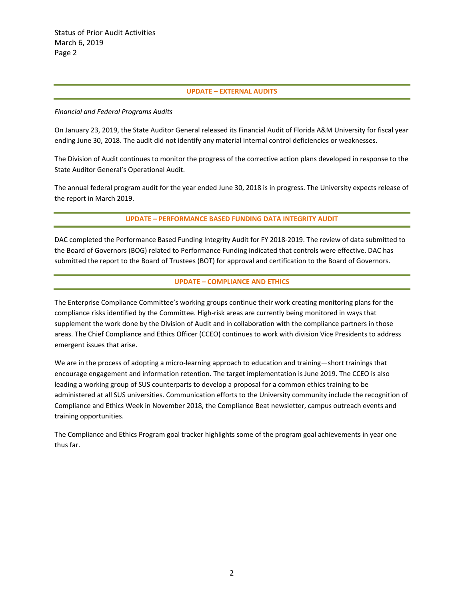#### **UPDATE – EXTERNAL AUDITS**

#### *Financial and Federal Programs Audits*

On January 23, 2019, the State Auditor General released its Financial Audit of Florida A&M University for fiscal year ending June 30, 2018. The audit did not identify any material internal control deficiencies or weaknesses.

The Division of Audit continues to monitor the progress of the corrective action plans developed in response to the State Auditor General's Operational Audit.

The annual federal program audit for the year ended June 30, 2018 is in progress. The University expects release of the report in March 2019.

#### **UPDATE – PERFORMANCE BASED FUNDING DATA INTEGRITY AUDIT**

DAC completed the Performance Based Funding Integrity Audit for FY 2018‐2019. The review of data submitted to the Board of Governors (BOG) related to Performance Funding indicated that controls were effective. DAC has submitted the report to the Board of Trustees (BOT) for approval and certification to the Board of Governors.

#### **UPDATE – COMPLIANCE AND ETHICS**

The Enterprise Compliance Committee's working groups continue their work creating monitoring plans for the compliance risks identified by the Committee. High-risk areas are currently being monitored in ways that supplement the work done by the Division of Audit and in collaboration with the compliance partners in those areas. The Chief Compliance and Ethics Officer (CCEO) continues to work with division Vice Presidents to address emergent issues that arise.

We are in the process of adopting a micro-learning approach to education and training—short trainings that encourage engagement and information retention. The target implementation is June 2019. The CCEO is also leading a working group of SUS counterparts to develop a proposal for a common ethics training to be administered at all SUS universities. Communication efforts to the University community include the recognition of Compliance and Ethics Week in November 2018, the Compliance Beat newsletter, campus outreach events and training opportunities.

The Compliance and Ethics Program goal tracker highlights some of the program goal achievements in year one thus far.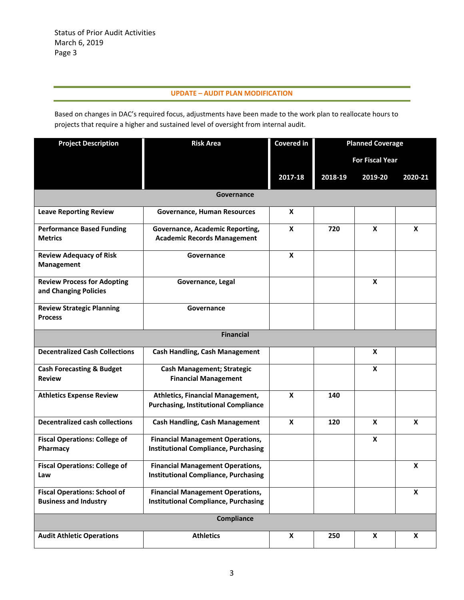### **UPDATE – AUDIT PLAN MODIFICATION**

Based on changes in DAC's required focus, adjustments have been made to the work plan to reallocate hours to projects that require a higher and sustained level of oversight from internal audit.

| <b>Project Description</b>                                          | <b>Risk Area</b>                                                                       | Covered in | <b>Planned Coverage</b> |         |                           |
|---------------------------------------------------------------------|----------------------------------------------------------------------------------------|------------|-------------------------|---------|---------------------------|
|                                                                     |                                                                                        |            | <b>For Fiscal Year</b>  |         |                           |
|                                                                     |                                                                                        | 2017-18    | 2018-19                 | 2019-20 | 2020-21                   |
|                                                                     | Governance                                                                             |            |                         |         |                           |
| <b>Leave Reporting Review</b>                                       | Governance, Human Resources                                                            | X          |                         |         |                           |
| <b>Performance Based Funding</b><br><b>Metrics</b>                  | Governance, Academic Reporting,<br><b>Academic Records Management</b>                  | X          | 720                     | X       | X                         |
| <b>Review Adequacy of Risk</b><br>Management                        | Governance                                                                             | X          |                         |         |                           |
| <b>Review Process for Adopting</b><br>and Changing Policies         | Governance, Legal                                                                      |            |                         | X       |                           |
| <b>Review Strategic Planning</b><br><b>Process</b>                  | Governance                                                                             |            |                         |         |                           |
|                                                                     | <b>Financial</b>                                                                       |            |                         |         |                           |
| <b>Decentralized Cash Collections</b>                               | <b>Cash Handling, Cash Management</b>                                                  |            |                         | X       |                           |
| <b>Cash Forecasting &amp; Budget</b><br><b>Review</b>               | <b>Cash Management; Strategic</b><br><b>Financial Management</b>                       |            |                         | X       |                           |
| <b>Athletics Expense Review</b>                                     | <b>Athletics, Financial Management,</b><br><b>Purchasing, Institutional Compliance</b> | X          | 140                     |         |                           |
| <b>Decentralized cash collections</b>                               | <b>Cash Handling, Cash Management</b>                                                  | X          | 120                     | X       | X                         |
| <b>Fiscal Operations: College of</b><br>Pharmacy                    | <b>Financial Management Operations,</b><br><b>Institutional Compliance, Purchasing</b> |            |                         | X       |                           |
| <b>Fiscal Operations: College of</b><br>Law                         | <b>Financial Management Operations,</b><br><b>Institutional Compliance, Purchasing</b> |            |                         |         | X                         |
| <b>Fiscal Operations: School of</b><br><b>Business and Industry</b> | <b>Financial Management Operations,</b><br><b>Institutional Compliance, Purchasing</b> |            |                         |         | $\boldsymbol{\mathsf{X}}$ |
| Compliance                                                          |                                                                                        |            |                         |         |                           |
| <b>Audit Athletic Operations</b>                                    | <b>Athletics</b>                                                                       | X          | 250                     | X       | X                         |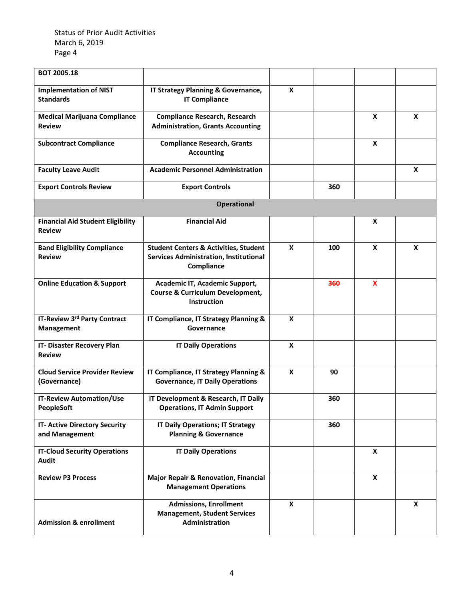Status of Prior Audit Activities March 6, 2019 Page 4

| <b>BOT 2005.18</b>                                        |                                                                                                                 |   |     |                           |   |
|-----------------------------------------------------------|-----------------------------------------------------------------------------------------------------------------|---|-----|---------------------------|---|
| <b>Implementation of NIST</b><br><b>Standards</b>         | IT Strategy Planning & Governance,<br><b>IT Compliance</b>                                                      | X |     |                           |   |
| <b>Medical Marijuana Compliance</b><br><b>Review</b>      | <b>Compliance Research, Research</b><br><b>Administration, Grants Accounting</b>                                |   |     | $\boldsymbol{x}$          | X |
| <b>Subcontract Compliance</b>                             | <b>Compliance Research, Grants</b><br><b>Accounting</b>                                                         |   |     | X                         |   |
| <b>Faculty Leave Audit</b>                                | <b>Academic Personnel Administration</b>                                                                        |   |     |                           | X |
| <b>Export Controls Review</b>                             | <b>Export Controls</b>                                                                                          |   | 360 |                           |   |
|                                                           | <b>Operational</b>                                                                                              |   |     |                           |   |
| <b>Financial Aid Student Eligibility</b><br><b>Review</b> | <b>Financial Aid</b>                                                                                            |   |     | X                         |   |
| <b>Band Eligibility Compliance</b><br><b>Review</b>       | <b>Student Centers &amp; Activities, Student</b><br><b>Services Administration, Institutional</b><br>Compliance | X | 100 | $\mathbf{x}$              | X |
| <b>Online Education &amp; Support</b>                     | Academic IT, Academic Support,<br><b>Course &amp; Curriculum Development,</b><br>Instruction                    |   | 360 | $\mathbf{x}$              |   |
| IT-Review 3rd Party Contract<br>Management                | IT Compliance, IT Strategy Planning &<br>Governance                                                             | X |     |                           |   |
| IT- Disaster Recovery Plan<br><b>Review</b>               | <b>IT Daily Operations</b>                                                                                      | X |     |                           |   |
| <b>Cloud Service Provider Review</b><br>(Governance)      | IT Compliance, IT Strategy Planning &<br><b>Governance, IT Daily Operations</b>                                 | X | 90  |                           |   |
| <b>IT-Review Automation/Use</b><br><b>PeopleSoft</b>      | IT Development & Research, IT Daily<br><b>Operations, IT Admin Support</b>                                      |   | 360 |                           |   |
| IT- Active Directory Security<br>and Management           | <b>IT Daily Operations; IT Strategy</b><br><b>Planning &amp; Governance</b>                                     |   | 360 |                           |   |
| <b>IT-Cloud Security Operations</b><br><b>Audit</b>       | <b>IT Daily Operations</b>                                                                                      |   |     | $\boldsymbol{\mathsf{X}}$ |   |
| <b>Review P3 Process</b>                                  | <b>Major Repair &amp; Renovation, Financial</b><br><b>Management Operations</b>                                 |   |     | X                         |   |
| <b>Admission &amp; enrollment</b>                         | <b>Admissions, Enrollment</b><br><b>Management, Student Services</b><br>Administration                          | X |     |                           | X |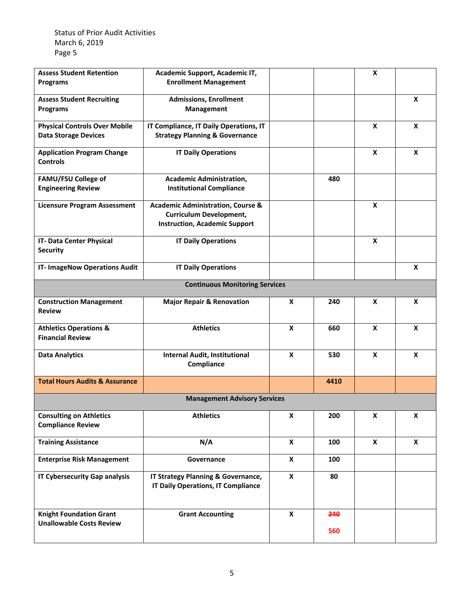Status of Prior Audit Activities March 6, 2019 Page 5

| <b>Assess Student Retention</b>                              | Academic Support, Academic IT,                                     |                           |      | X                |                  |
|--------------------------------------------------------------|--------------------------------------------------------------------|---------------------------|------|------------------|------------------|
| <b>Programs</b>                                              | <b>Enrollment Management</b>                                       |                           |      |                  |                  |
| <b>Assess Student Recruiting</b>                             | <b>Admissions, Enrollment</b>                                      |                           |      |                  | X                |
| <b>Programs</b>                                              | Management                                                         |                           |      |                  |                  |
| <b>Physical Controls Over Mobile</b>                         | IT Compliance, IT Daily Operations, IT                             |                           |      | $\boldsymbol{x}$ | $\boldsymbol{x}$ |
| <b>Data Storage Devices</b>                                  | <b>Strategy Planning &amp; Governance</b>                          |                           |      |                  |                  |
| <b>Application Program Change</b><br><b>Controls</b>         | <b>IT Daily Operations</b>                                         |                           |      | $\boldsymbol{x}$ | $\boldsymbol{x}$ |
| <b>FAMU/FSU College of</b><br><b>Engineering Review</b>      | <b>Academic Administration,</b><br><b>Institutional Compliance</b> |                           | 480  |                  |                  |
| <b>Licensure Program Assessment</b>                          | <b>Academic Administration, Course &amp;</b>                       |                           |      | $\mathbf x$      |                  |
|                                                              | <b>Curriculum Development,</b>                                     |                           |      |                  |                  |
|                                                              | <b>Instruction, Academic Support</b>                               |                           |      |                  |                  |
| IT- Data Center Physical                                     | <b>IT Daily Operations</b>                                         |                           |      | X                |                  |
| <b>Security</b>                                              |                                                                    |                           |      |                  |                  |
| <b>IT- ImageNow Operations Audit</b>                         | <b>IT Daily Operations</b>                                         |                           |      |                  | X                |
|                                                              | <b>Continuous Monitoring Services</b>                              |                           |      |                  |                  |
| <b>Construction Management</b>                               | <b>Major Repair &amp; Renovation</b>                               | X                         | 240  | X                | X                |
| <b>Review</b>                                                |                                                                    |                           |      |                  |                  |
| <b>Athletics Operations &amp;</b><br><b>Financial Review</b> | <b>Athletics</b>                                                   | X                         | 660  | X                | $\boldsymbol{x}$ |
| <b>Data Analytics</b>                                        | <b>Internal Audit, Institutional</b>                               | X                         | 530  | $\mathbf{x}$     | X                |
|                                                              | Compliance                                                         |                           |      |                  |                  |
| <b>Total Hours Audits &amp; Assurance</b>                    |                                                                    |                           | 4410 |                  |                  |
|                                                              | <b>Management Advisory Services</b>                                |                           |      |                  |                  |
| <b>Consulting on Athletics</b>                               | <b>Athletics</b>                                                   | X                         | 200  | X                | X                |
| <b>Compliance Review</b>                                     |                                                                    |                           |      |                  |                  |
| <b>Training Assistance</b>                                   | N/A                                                                | $\boldsymbol{\mathsf{X}}$ | 100  | X                | X                |
| <b>Enterprise Risk Management</b>                            | Governance                                                         | X                         | 100  |                  |                  |
| <b>IT Cybersecurity Gap analysis</b>                         | IT Strategy Planning & Governance,                                 | X                         | 80   |                  |                  |
|                                                              | <b>IT Daily Operations, IT Compliance</b>                          |                           |      |                  |                  |
| <b>Knight Foundation Grant</b>                               | <b>Grant Accounting</b>                                            | X                         | 240  |                  |                  |
| <b>Unallowable Costs Review</b>                              |                                                                    |                           | 560  |                  |                  |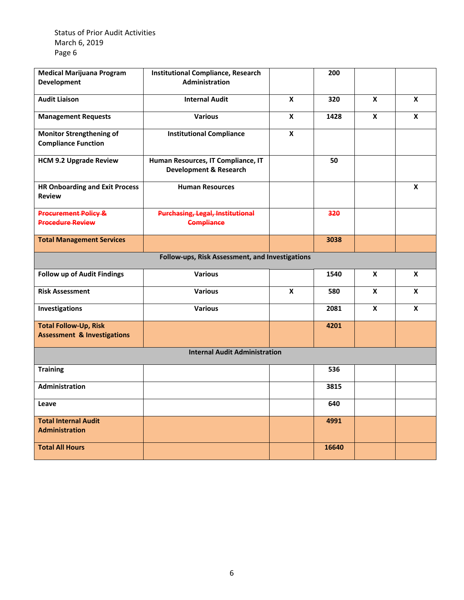Status of Prior Audit Activities March 6, 2019 Page 6

| <b>Medical Marijuana Program</b><br><b>Development</b>                 | <b>Institutional Compliance, Research</b><br><b>Administration</b>      |   | 200   |   |   |  |
|------------------------------------------------------------------------|-------------------------------------------------------------------------|---|-------|---|---|--|
|                                                                        |                                                                         |   |       |   |   |  |
| <b>Audit Liaison</b>                                                   | <b>Internal Audit</b>                                                   | X | 320   | X | X |  |
| <b>Management Requests</b>                                             | <b>Various</b>                                                          | X | 1428  | X | X |  |
| <b>Monitor Strengthening of</b><br><b>Compliance Function</b>          | <b>Institutional Compliance</b>                                         | X |       |   |   |  |
| <b>HCM 9.2 Upgrade Review</b>                                          | Human Resources, IT Compliance, IT<br><b>Development &amp; Research</b> |   | 50    |   |   |  |
| <b>HR Onboarding and Exit Process</b><br><b>Review</b>                 | <b>Human Resources</b>                                                  |   |       |   | X |  |
| <b>Procurement Policy &amp;</b><br><b>Procedure Review</b>             | <b>Purchasing, Legal, Institutional</b><br><b>Compliance</b>            |   | 320   |   |   |  |
| <b>Total Management Services</b>                                       |                                                                         |   | 3038  |   |   |  |
| Follow-ups, Risk Assessment, and Investigations                        |                                                                         |   |       |   |   |  |
| <b>Follow up of Audit Findings</b>                                     | <b>Various</b>                                                          |   | 1540  | X | X |  |
| <b>Risk Assessment</b>                                                 | <b>Various</b>                                                          | X | 580   | X | X |  |
| Investigations                                                         | <b>Various</b>                                                          |   | 2081  | X | X |  |
| <b>Total Follow-Up, Risk</b><br><b>Assessment &amp; Investigations</b> |                                                                         |   | 4201  |   |   |  |
| <b>Internal Audit Administration</b>                                   |                                                                         |   |       |   |   |  |
| <b>Training</b>                                                        |                                                                         |   | 536   |   |   |  |
| Administration                                                         |                                                                         |   | 3815  |   |   |  |
| Leave                                                                  |                                                                         |   | 640   |   |   |  |
| <b>Total Internal Audit</b><br><b>Administration</b>                   |                                                                         |   | 4991  |   |   |  |
| <b>Total All Hours</b>                                                 |                                                                         |   | 16640 |   |   |  |